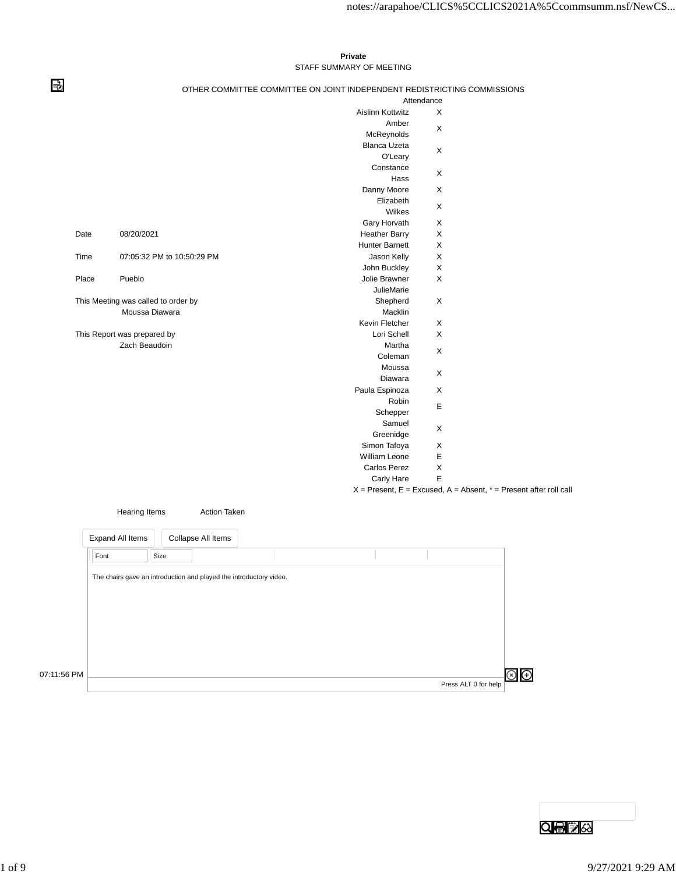## **Private** STAFF SUMMARY OF MEETING

⇛

## OTHER COMMITTEE COMMITTEE ON JOINT INDEPENDENT REDISTRICTING COMMISSIONS

|       |                                     |                         | Attendance                |                                                                           |
|-------|-------------------------------------|-------------------------|---------------------------|---------------------------------------------------------------------------|
|       |                                     | <b>Aislinn Kottwitz</b> | X                         |                                                                           |
|       |                                     | Amber                   |                           |                                                                           |
|       |                                     | McReynolds              | X                         |                                                                           |
|       |                                     | <b>Blanca Uzeta</b>     |                           |                                                                           |
|       |                                     | O'Leary                 | X                         |                                                                           |
|       |                                     | Constance               |                           |                                                                           |
|       |                                     | Hass                    | X                         |                                                                           |
|       |                                     | Danny Moore             | X                         |                                                                           |
|       |                                     | Elizabeth               |                           |                                                                           |
|       |                                     | Wilkes                  | X                         |                                                                           |
|       |                                     | Gary Horvath            | X                         |                                                                           |
| Date  | 08/20/2021                          | <b>Heather Barry</b>    | X                         |                                                                           |
|       |                                     | <b>Hunter Barnett</b>   | X                         |                                                                           |
| Time  | 07:05:32 PM to 10:50:29 PM          | Jason Kelly             | X                         |                                                                           |
|       |                                     | John Buckley            | X                         |                                                                           |
| Place | Pueblo                              | Jolie Brawner           | X                         |                                                                           |
|       |                                     | <b>JulieMarie</b>       |                           |                                                                           |
|       | This Meeting was called to order by | Shepherd                | X                         |                                                                           |
|       | Moussa Diawara                      | Macklin                 |                           |                                                                           |
|       |                                     | Kevin Fletcher          | X                         |                                                                           |
|       | This Report was prepared by         | Lori Schell             | X                         |                                                                           |
|       | Zach Beaudoin                       | Martha                  | X                         |                                                                           |
|       |                                     | Coleman                 |                           |                                                                           |
|       |                                     | Moussa                  | X                         |                                                                           |
|       |                                     | Diawara                 |                           |                                                                           |
|       |                                     | Paula Espinoza          | X                         |                                                                           |
|       |                                     | Robin                   | E                         |                                                                           |
|       |                                     | Schepper                |                           |                                                                           |
|       |                                     | Samuel                  | X                         |                                                                           |
|       |                                     | Greenidge               |                           |                                                                           |
|       |                                     | Simon Tafoya            | X                         |                                                                           |
|       |                                     | <b>William Leone</b>    | $\mathsf E$               |                                                                           |
|       |                                     | <b>Carlos Perez</b>     | $\boldsymbol{\mathsf{X}}$ |                                                                           |
|       |                                     | Carly Hare              | E                         |                                                                           |
|       |                                     |                         |                           | $X =$ Present, $E =$ Excused, $A =$ Absent, $* =$ Present after roll call |

|             | Hearing Items                                                      |      | <b>Action Taken</b> |  |  |                      |  |
|-------------|--------------------------------------------------------------------|------|---------------------|--|--|----------------------|--|
|             | Expand All Items                                                   |      | Collapse All Items  |  |  |                      |  |
|             | Font                                                               | Size |                     |  |  |                      |  |
|             | The chairs gave an introduction and played the introductory video. |      |                     |  |  |                      |  |
|             |                                                                    |      |                     |  |  |                      |  |
|             |                                                                    |      |                     |  |  |                      |  |
|             |                                                                    |      |                     |  |  |                      |  |
|             |                                                                    |      |                     |  |  |                      |  |
| 07:11:56 PM |                                                                    |      |                     |  |  |                      |  |
|             |                                                                    |      |                     |  |  | Press ALT 0 for help |  |

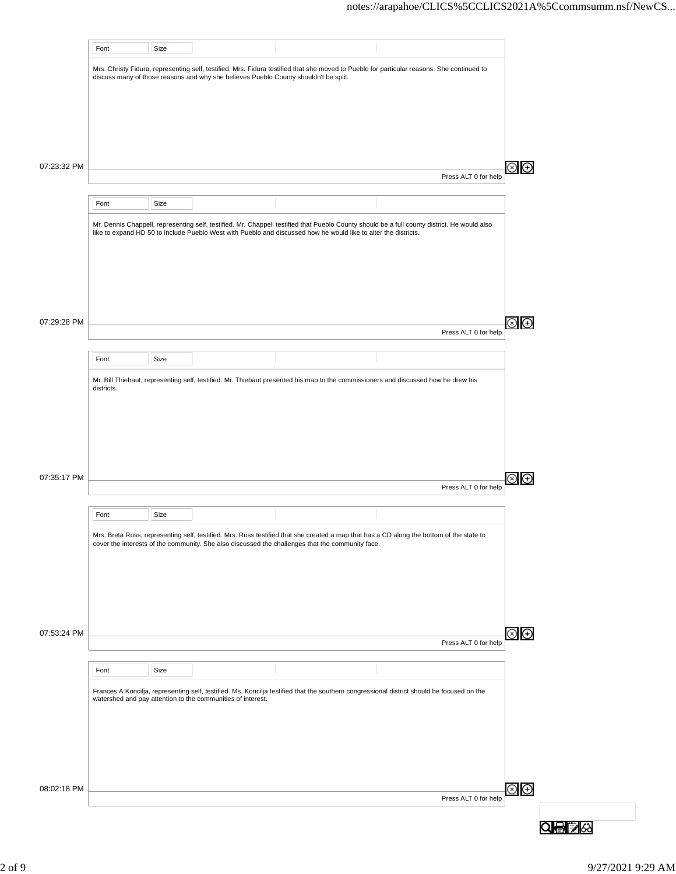| Mrs. Christy Fidura, representing self, testified. Mrs. Fidura testified that she moved to Pueblo for particular reasons. She continued to<br>discuss many of those reasons and why she believes Pueblo County shouldn't be split.<br>Press ALT 0 for help<br>Font<br>Size<br>Mr. Dennis Chappell, representing self, testified. Mr. Chappell testified that Pueblo County should be a full county district. He would also<br>like to expand HD 50 to include Pueblo West with Pueblo and discussed how he would like to alter the districts.<br>(x)<br>Press ALT 0 for help<br>Font<br>Size<br>Mr. Bill Thiebaut, representing self, testified. Mr. Thiebaut presented his map to the commissioners and discussed how he drew his<br>districts.<br>Press ALT 0 for help<br>Font<br>Size<br>Mrs. Breta Ross, representing self, testified. Mrs. Ross testified that she created a map that has a CD along the bottom of the state to<br>cover the interests of the community. She also discussed the challenges that the community face.<br>Press ALT 0 for help<br>Font<br>Size<br>Frances A Koncilja, representing self, testified. Ms. Koncilja testified that the southern congressional district should be focused on the<br>watershed and pay attention to the communities of interest.<br>Press ALT 0 for help |             | Font | Size |  |  |  |
|-----------------------------------------------------------------------------------------------------------------------------------------------------------------------------------------------------------------------------------------------------------------------------------------------------------------------------------------------------------------------------------------------------------------------------------------------------------------------------------------------------------------------------------------------------------------------------------------------------------------------------------------------------------------------------------------------------------------------------------------------------------------------------------------------------------------------------------------------------------------------------------------------------------------------------------------------------------------------------------------------------------------------------------------------------------------------------------------------------------------------------------------------------------------------------------------------------------------------------------------------------------------------------------------------------------------------|-------------|------|------|--|--|--|
|                                                                                                                                                                                                                                                                                                                                                                                                                                                                                                                                                                                                                                                                                                                                                                                                                                                                                                                                                                                                                                                                                                                                                                                                                                                                                                                       |             |      |      |  |  |  |
|                                                                                                                                                                                                                                                                                                                                                                                                                                                                                                                                                                                                                                                                                                                                                                                                                                                                                                                                                                                                                                                                                                                                                                                                                                                                                                                       |             |      |      |  |  |  |
|                                                                                                                                                                                                                                                                                                                                                                                                                                                                                                                                                                                                                                                                                                                                                                                                                                                                                                                                                                                                                                                                                                                                                                                                                                                                                                                       |             |      |      |  |  |  |
| $\bigoplus$<br>$\bigoplus$                                                                                                                                                                                                                                                                                                                                                                                                                                                                                                                                                                                                                                                                                                                                                                                                                                                                                                                                                                                                                                                                                                                                                                                                                                                                                            |             |      |      |  |  |  |
| Θ<br>$\circledcirc$<br>$\circledcirc$                                                                                                                                                                                                                                                                                                                                                                                                                                                                                                                                                                                                                                                                                                                                                                                                                                                                                                                                                                                                                                                                                                                                                                                                                                                                                 |             |      |      |  |  |  |
|                                                                                                                                                                                                                                                                                                                                                                                                                                                                                                                                                                                                                                                                                                                                                                                                                                                                                                                                                                                                                                                                                                                                                                                                                                                                                                                       |             |      |      |  |  |  |
|                                                                                                                                                                                                                                                                                                                                                                                                                                                                                                                                                                                                                                                                                                                                                                                                                                                                                                                                                                                                                                                                                                                                                                                                                                                                                                                       | 07:23:32 PM |      |      |  |  |  |
|                                                                                                                                                                                                                                                                                                                                                                                                                                                                                                                                                                                                                                                                                                                                                                                                                                                                                                                                                                                                                                                                                                                                                                                                                                                                                                                       |             |      |      |  |  |  |
|                                                                                                                                                                                                                                                                                                                                                                                                                                                                                                                                                                                                                                                                                                                                                                                                                                                                                                                                                                                                                                                                                                                                                                                                                                                                                                                       |             |      |      |  |  |  |
|                                                                                                                                                                                                                                                                                                                                                                                                                                                                                                                                                                                                                                                                                                                                                                                                                                                                                                                                                                                                                                                                                                                                                                                                                                                                                                                       |             |      |      |  |  |  |
|                                                                                                                                                                                                                                                                                                                                                                                                                                                                                                                                                                                                                                                                                                                                                                                                                                                                                                                                                                                                                                                                                                                                                                                                                                                                                                                       |             |      |      |  |  |  |
|                                                                                                                                                                                                                                                                                                                                                                                                                                                                                                                                                                                                                                                                                                                                                                                                                                                                                                                                                                                                                                                                                                                                                                                                                                                                                                                       |             |      |      |  |  |  |
|                                                                                                                                                                                                                                                                                                                                                                                                                                                                                                                                                                                                                                                                                                                                                                                                                                                                                                                                                                                                                                                                                                                                                                                                                                                                                                                       |             |      |      |  |  |  |
|                                                                                                                                                                                                                                                                                                                                                                                                                                                                                                                                                                                                                                                                                                                                                                                                                                                                                                                                                                                                                                                                                                                                                                                                                                                                                                                       |             |      |      |  |  |  |
|                                                                                                                                                                                                                                                                                                                                                                                                                                                                                                                                                                                                                                                                                                                                                                                                                                                                                                                                                                                                                                                                                                                                                                                                                                                                                                                       |             |      |      |  |  |  |
|                                                                                                                                                                                                                                                                                                                                                                                                                                                                                                                                                                                                                                                                                                                                                                                                                                                                                                                                                                                                                                                                                                                                                                                                                                                                                                                       | 07:29:28 PM |      |      |  |  |  |
|                                                                                                                                                                                                                                                                                                                                                                                                                                                                                                                                                                                                                                                                                                                                                                                                                                                                                                                                                                                                                                                                                                                                                                                                                                                                                                                       |             |      |      |  |  |  |
|                                                                                                                                                                                                                                                                                                                                                                                                                                                                                                                                                                                                                                                                                                                                                                                                                                                                                                                                                                                                                                                                                                                                                                                                                                                                                                                       |             |      |      |  |  |  |
|                                                                                                                                                                                                                                                                                                                                                                                                                                                                                                                                                                                                                                                                                                                                                                                                                                                                                                                                                                                                                                                                                                                                                                                                                                                                                                                       |             |      |      |  |  |  |
|                                                                                                                                                                                                                                                                                                                                                                                                                                                                                                                                                                                                                                                                                                                                                                                                                                                                                                                                                                                                                                                                                                                                                                                                                                                                                                                       |             |      |      |  |  |  |
|                                                                                                                                                                                                                                                                                                                                                                                                                                                                                                                                                                                                                                                                                                                                                                                                                                                                                                                                                                                                                                                                                                                                                                                                                                                                                                                       |             |      |      |  |  |  |
|                                                                                                                                                                                                                                                                                                                                                                                                                                                                                                                                                                                                                                                                                                                                                                                                                                                                                                                                                                                                                                                                                                                                                                                                                                                                                                                       |             |      |      |  |  |  |
|                                                                                                                                                                                                                                                                                                                                                                                                                                                                                                                                                                                                                                                                                                                                                                                                                                                                                                                                                                                                                                                                                                                                                                                                                                                                                                                       |             |      |      |  |  |  |
|                                                                                                                                                                                                                                                                                                                                                                                                                                                                                                                                                                                                                                                                                                                                                                                                                                                                                                                                                                                                                                                                                                                                                                                                                                                                                                                       |             |      |      |  |  |  |
|                                                                                                                                                                                                                                                                                                                                                                                                                                                                                                                                                                                                                                                                                                                                                                                                                                                                                                                                                                                                                                                                                                                                                                                                                                                                                                                       | 07:35:17 PM |      |      |  |  |  |
|                                                                                                                                                                                                                                                                                                                                                                                                                                                                                                                                                                                                                                                                                                                                                                                                                                                                                                                                                                                                                                                                                                                                                                                                                                                                                                                       |             |      |      |  |  |  |
|                                                                                                                                                                                                                                                                                                                                                                                                                                                                                                                                                                                                                                                                                                                                                                                                                                                                                                                                                                                                                                                                                                                                                                                                                                                                                                                       |             |      |      |  |  |  |
|                                                                                                                                                                                                                                                                                                                                                                                                                                                                                                                                                                                                                                                                                                                                                                                                                                                                                                                                                                                                                                                                                                                                                                                                                                                                                                                       |             |      |      |  |  |  |
|                                                                                                                                                                                                                                                                                                                                                                                                                                                                                                                                                                                                                                                                                                                                                                                                                                                                                                                                                                                                                                                                                                                                                                                                                                                                                                                       |             |      |      |  |  |  |
|                                                                                                                                                                                                                                                                                                                                                                                                                                                                                                                                                                                                                                                                                                                                                                                                                                                                                                                                                                                                                                                                                                                                                                                                                                                                                                                       |             |      |      |  |  |  |
|                                                                                                                                                                                                                                                                                                                                                                                                                                                                                                                                                                                                                                                                                                                                                                                                                                                                                                                                                                                                                                                                                                                                                                                                                                                                                                                       |             |      |      |  |  |  |
|                                                                                                                                                                                                                                                                                                                                                                                                                                                                                                                                                                                                                                                                                                                                                                                                                                                                                                                                                                                                                                                                                                                                                                                                                                                                                                                       |             |      |      |  |  |  |
|                                                                                                                                                                                                                                                                                                                                                                                                                                                                                                                                                                                                                                                                                                                                                                                                                                                                                                                                                                                                                                                                                                                                                                                                                                                                                                                       |             |      |      |  |  |  |
|                                                                                                                                                                                                                                                                                                                                                                                                                                                                                                                                                                                                                                                                                                                                                                                                                                                                                                                                                                                                                                                                                                                                                                                                                                                                                                                       |             |      |      |  |  |  |
|                                                                                                                                                                                                                                                                                                                                                                                                                                                                                                                                                                                                                                                                                                                                                                                                                                                                                                                                                                                                                                                                                                                                                                                                                                                                                                                       | 07:53:24 PM |      |      |  |  |  |
|                                                                                                                                                                                                                                                                                                                                                                                                                                                                                                                                                                                                                                                                                                                                                                                                                                                                                                                                                                                                                                                                                                                                                                                                                                                                                                                       |             |      |      |  |  |  |
|                                                                                                                                                                                                                                                                                                                                                                                                                                                                                                                                                                                                                                                                                                                                                                                                                                                                                                                                                                                                                                                                                                                                                                                                                                                                                                                       |             |      |      |  |  |  |
|                                                                                                                                                                                                                                                                                                                                                                                                                                                                                                                                                                                                                                                                                                                                                                                                                                                                                                                                                                                                                                                                                                                                                                                                                                                                                                                       |             |      |      |  |  |  |
|                                                                                                                                                                                                                                                                                                                                                                                                                                                                                                                                                                                                                                                                                                                                                                                                                                                                                                                                                                                                                                                                                                                                                                                                                                                                                                                       |             |      |      |  |  |  |
|                                                                                                                                                                                                                                                                                                                                                                                                                                                                                                                                                                                                                                                                                                                                                                                                                                                                                                                                                                                                                                                                                                                                                                                                                                                                                                                       |             |      |      |  |  |  |
|                                                                                                                                                                                                                                                                                                                                                                                                                                                                                                                                                                                                                                                                                                                                                                                                                                                                                                                                                                                                                                                                                                                                                                                                                                                                                                                       |             |      |      |  |  |  |
|                                                                                                                                                                                                                                                                                                                                                                                                                                                                                                                                                                                                                                                                                                                                                                                                                                                                                                                                                                                                                                                                                                                                                                                                                                                                                                                       |             |      |      |  |  |  |
|                                                                                                                                                                                                                                                                                                                                                                                                                                                                                                                                                                                                                                                                                                                                                                                                                                                                                                                                                                                                                                                                                                                                                                                                                                                                                                                       |             |      |      |  |  |  |
|                                                                                                                                                                                                                                                                                                                                                                                                                                                                                                                                                                                                                                                                                                                                                                                                                                                                                                                                                                                                                                                                                                                                                                                                                                                                                                                       | 08:02:18 PM |      |      |  |  |  |
|                                                                                                                                                                                                                                                                                                                                                                                                                                                                                                                                                                                                                                                                                                                                                                                                                                                                                                                                                                                                                                                                                                                                                                                                                                                                                                                       |             |      |      |  |  |  |
|                                                                                                                                                                                                                                                                                                                                                                                                                                                                                                                                                                                                                                                                                                                                                                                                                                                                                                                                                                                                                                                                                                                                                                                                                                                                                                                       |             |      |      |  |  |  |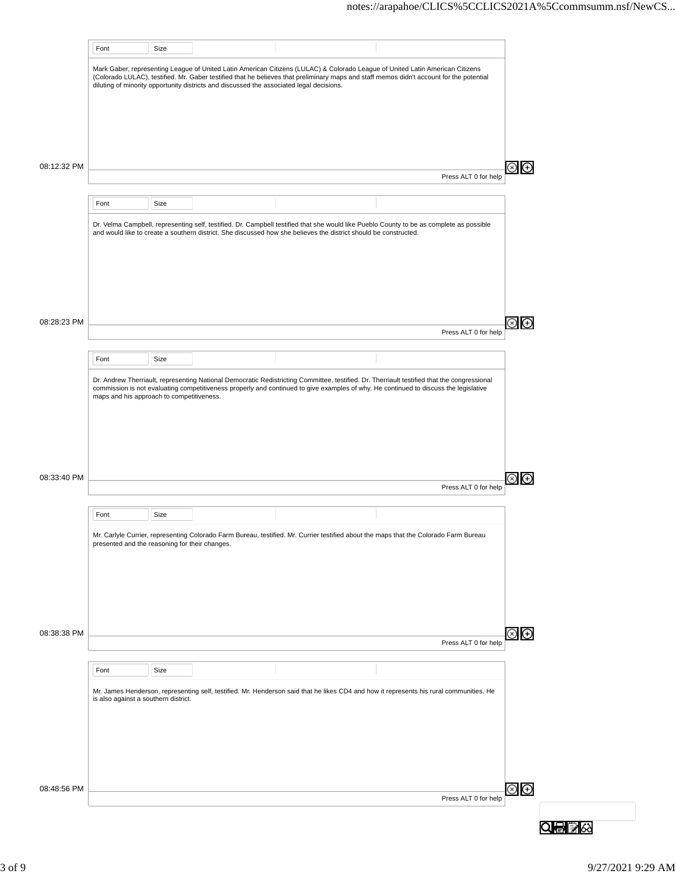|             | Font                                           | Size |                                                                                                                                                                                                                                                                                                                                                                       |  |                      |
|-------------|------------------------------------------------|------|-----------------------------------------------------------------------------------------------------------------------------------------------------------------------------------------------------------------------------------------------------------------------------------------------------------------------------------------------------------------------|--|----------------------|
|             |                                                |      | Mark Gaber, representing League of United Latin American Citizens (LULAC) & Colorado League of United Latin American Citizens<br>(Colorado LULAC), testified. Mr. Gaber testified that he believes that preliminary maps and staff memos didn't account for the potential<br>diluting of minority opportunity districts and discussed the associated legal decisions. |  |                      |
|             |                                                |      |                                                                                                                                                                                                                                                                                                                                                                       |  |                      |
| 08:12:32 PM |                                                |      |                                                                                                                                                                                                                                                                                                                                                                       |  |                      |
|             |                                                |      |                                                                                                                                                                                                                                                                                                                                                                       |  | Press ALT 0 for help |
|             | Font                                           | Size |                                                                                                                                                                                                                                                                                                                                                                       |  |                      |
|             |                                                |      | Dr. Velma Campbell, representing self, testified. Dr. Campbell testified that she would like Pueblo County to be as complete as possible<br>and would like to create a southern district. She discussed how she believes the district should be constructed.                                                                                                          |  |                      |
| 08:28:23 PM |                                                |      |                                                                                                                                                                                                                                                                                                                                                                       |  | Press ALT 0 for help |
|             | Font                                           | Size |                                                                                                                                                                                                                                                                                                                                                                       |  |                      |
|             | maps and his approach to competitiveness.      |      | Dr. Andrew Therriault, representing National Democratic Redistricting Committee, testified. Dr. Therriault testified that the congressional<br>commission is not evaluating competitiveness properly and continued to give examples of why. He continued to discuss the legislative                                                                                   |  |                      |
| 08:33:40 PM |                                                |      |                                                                                                                                                                                                                                                                                                                                                                       |  |                      |
|             |                                                |      |                                                                                                                                                                                                                                                                                                                                                                       |  | Press ALT 0 for help |
|             | Font                                           | Size |                                                                                                                                                                                                                                                                                                                                                                       |  |                      |
|             | presented and the reasoning for their changes. |      | Mr. Carlyle Currier, representing Colorado Farm Bureau, testified. Mr. Currier testified about the maps that the Colorado Farm Bureau                                                                                                                                                                                                                                 |  |                      |
| 08:38:38 PM |                                                |      |                                                                                                                                                                                                                                                                                                                                                                       |  | Press ALT 0 for help |
|             |                                                |      |                                                                                                                                                                                                                                                                                                                                                                       |  |                      |
|             | Font                                           | Size |                                                                                                                                                                                                                                                                                                                                                                       |  |                      |
|             | is also against a southern district.           |      | Mr. James Henderson, representing self, testified. Mr. Henderson said that he likes CD4 and how it represents his rural communities. He                                                                                                                                                                                                                               |  |                      |
|             |                                                |      |                                                                                                                                                                                                                                                                                                                                                                       |  |                      |
| 08:48:56 PM |                                                |      |                                                                                                                                                                                                                                                                                                                                                                       |  | Press ALT 0 for help |
|             |                                                |      |                                                                                                                                                                                                                                                                                                                                                                       |  |                      |
|             |                                                |      |                                                                                                                                                                                                                                                                                                                                                                       |  |                      |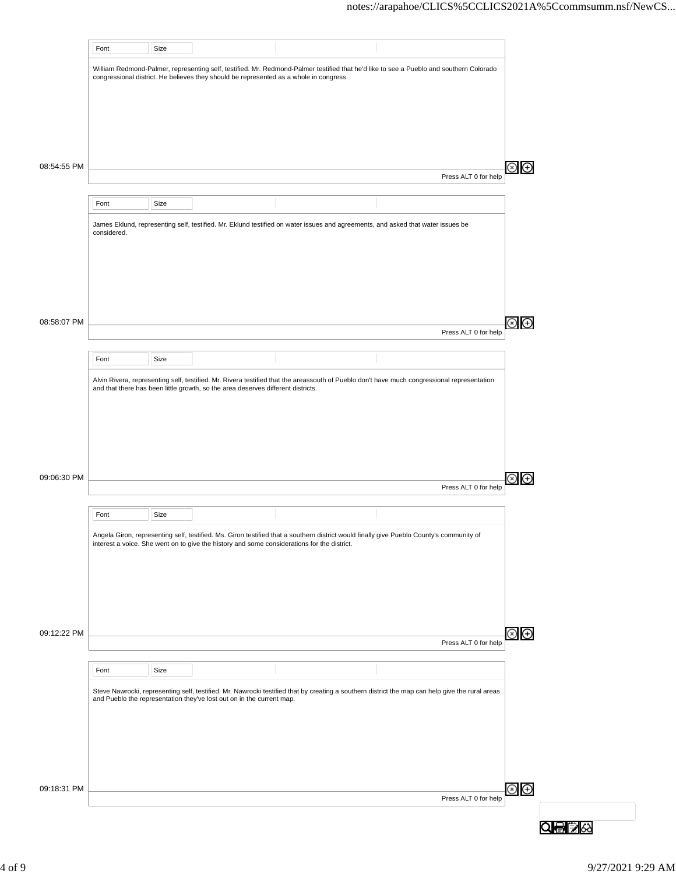|             | Font        | Size |                                                                                        |                                                                                                                                                                                                                                         |                      |                            |  |
|-------------|-------------|------|----------------------------------------------------------------------------------------|-----------------------------------------------------------------------------------------------------------------------------------------------------------------------------------------------------------------------------------------|----------------------|----------------------------|--|
|             |             |      |                                                                                        | William Redmond-Palmer, representing self, testified. Mr. Redmond-Palmer testified that he'd like to see a Pueblo and southern Colorado                                                                                                 |                      |                            |  |
|             |             |      | congressional district. He believes they should be represented as a whole in congress. |                                                                                                                                                                                                                                         |                      |                            |  |
|             |             |      |                                                                                        |                                                                                                                                                                                                                                         |                      |                            |  |
|             |             |      |                                                                                        |                                                                                                                                                                                                                                         |                      |                            |  |
|             |             |      |                                                                                        |                                                                                                                                                                                                                                         |                      |                            |  |
|             |             |      |                                                                                        |                                                                                                                                                                                                                                         |                      |                            |  |
| 08:54:55 PM |             |      |                                                                                        |                                                                                                                                                                                                                                         | Press ALT 0 for help | ⊕                          |  |
|             |             |      |                                                                                        |                                                                                                                                                                                                                                         |                      |                            |  |
|             | Font        | Size |                                                                                        |                                                                                                                                                                                                                                         |                      |                            |  |
|             | considered. |      |                                                                                        | James Eklund, representing self, testified. Mr. Eklund testified on water issues and agreements, and asked that water issues be                                                                                                         |                      |                            |  |
|             |             |      |                                                                                        |                                                                                                                                                                                                                                         |                      |                            |  |
|             |             |      |                                                                                        |                                                                                                                                                                                                                                         |                      |                            |  |
|             |             |      |                                                                                        |                                                                                                                                                                                                                                         |                      |                            |  |
|             |             |      |                                                                                        |                                                                                                                                                                                                                                         |                      |                            |  |
| 08:58:07 PM |             |      |                                                                                        |                                                                                                                                                                                                                                         |                      | ⊕                          |  |
|             |             |      |                                                                                        |                                                                                                                                                                                                                                         | Press ALT 0 for help |                            |  |
|             | Font        | Size |                                                                                        |                                                                                                                                                                                                                                         |                      |                            |  |
|             |             |      |                                                                                        | Alvin Rivera, representing self, testified. Mr. Rivera testified that the areassouth of Pueblo don't have much congressional representation                                                                                             |                      |                            |  |
|             |             |      | and that there has been little growth, so the area deserves different districts.       |                                                                                                                                                                                                                                         |                      |                            |  |
|             |             |      |                                                                                        |                                                                                                                                                                                                                                         |                      |                            |  |
|             |             |      |                                                                                        |                                                                                                                                                                                                                                         |                      |                            |  |
|             |             |      |                                                                                        |                                                                                                                                                                                                                                         |                      |                            |  |
|             |             |      |                                                                                        |                                                                                                                                                                                                                                         |                      |                            |  |
| 09:06:30 PM |             |      |                                                                                        |                                                                                                                                                                                                                                         | Press ALT 0 for help | $\left( \mathrm{+}\right)$ |  |
|             |             |      |                                                                                        |                                                                                                                                                                                                                                         |                      |                            |  |
|             | Font        | Size |                                                                                        |                                                                                                                                                                                                                                         |                      |                            |  |
|             |             |      |                                                                                        | Angela Giron, representing self, testified. Ms. Giron testified that a southern district would finally give Pueblo County's community of<br>interest a voice. She went on to give the history and some considerations for the district. |                      |                            |  |
|             |             |      |                                                                                        |                                                                                                                                                                                                                                         |                      |                            |  |
|             |             |      |                                                                                        |                                                                                                                                                                                                                                         |                      |                            |  |
|             |             |      |                                                                                        |                                                                                                                                                                                                                                         |                      |                            |  |
|             |             |      |                                                                                        |                                                                                                                                                                                                                                         |                      |                            |  |
| 09:12:22 PM |             |      |                                                                                        |                                                                                                                                                                                                                                         |                      | $\oplus$                   |  |
|             |             |      |                                                                                        |                                                                                                                                                                                                                                         | Press ALT 0 for help |                            |  |
|             | Font        | Size |                                                                                        |                                                                                                                                                                                                                                         |                      |                            |  |
|             |             |      |                                                                                        | Steve Nawrocki, representing self, testified. Mr. Nawrocki testified that by creating a southern district the map can help give the rural areas                                                                                         |                      |                            |  |
|             |             |      | and Pueblo the representation they've lost out on in the current map.                  |                                                                                                                                                                                                                                         |                      |                            |  |
|             |             |      |                                                                                        |                                                                                                                                                                                                                                         |                      |                            |  |
|             |             |      |                                                                                        |                                                                                                                                                                                                                                         |                      |                            |  |
|             |             |      |                                                                                        |                                                                                                                                                                                                                                         |                      |                            |  |
|             |             |      |                                                                                        |                                                                                                                                                                                                                                         |                      |                            |  |
| 09:18:31 PM |             |      |                                                                                        |                                                                                                                                                                                                                                         | Press ALT 0 for help | $\odot$ $\odot$            |  |
|             |             |      |                                                                                        |                                                                                                                                                                                                                                         |                      |                            |  |
|             |             |      |                                                                                        |                                                                                                                                                                                                                                         |                      |                            |  |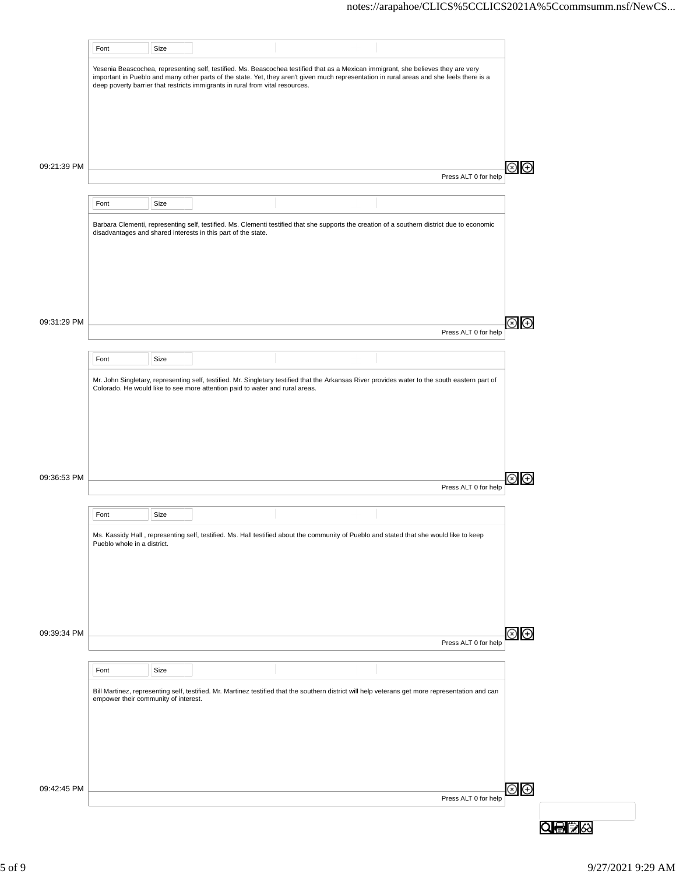|             | Font                                 | Size |                                                                               |                                                                                                                                                                                                                                                                                 |                      |                 |
|-------------|--------------------------------------|------|-------------------------------------------------------------------------------|---------------------------------------------------------------------------------------------------------------------------------------------------------------------------------------------------------------------------------------------------------------------------------|----------------------|-----------------|
|             |                                      |      | deep poverty barrier that restricts immigrants in rural from vital resources. | Yesenia Beascochea, representing self, testified. Ms. Beascochea testified that as a Mexican immigrant, she believes they are very<br>important in Pueblo and many other parts of the state. Yet, they aren't given much representation in rural areas and she feels there is a |                      |                 |
|             |                                      |      |                                                                               |                                                                                                                                                                                                                                                                                 |                      |                 |
|             |                                      |      |                                                                               |                                                                                                                                                                                                                                                                                 |                      |                 |
|             |                                      |      |                                                                               |                                                                                                                                                                                                                                                                                 |                      |                 |
| 09:21:39 PM |                                      |      |                                                                               |                                                                                                                                                                                                                                                                                 | Press ALT 0 for help | ⊗<br>⊕          |
|             | Font                                 | Size |                                                                               |                                                                                                                                                                                                                                                                                 |                      |                 |
|             |                                      |      | disadvantages and shared interests in this part of the state.                 | Barbara Clementi, representing self, testified. Ms. Clementi testified that she supports the creation of a southern district due to economic                                                                                                                                    |                      |                 |
|             |                                      |      |                                                                               |                                                                                                                                                                                                                                                                                 |                      |                 |
|             |                                      |      |                                                                               |                                                                                                                                                                                                                                                                                 |                      |                 |
|             |                                      |      |                                                                               |                                                                                                                                                                                                                                                                                 |                      |                 |
| 09:31:29 PM |                                      |      |                                                                               |                                                                                                                                                                                                                                                                                 |                      | ⊛<br>⊕          |
|             |                                      |      |                                                                               |                                                                                                                                                                                                                                                                                 | Press ALT 0 for help |                 |
|             | Font                                 | Size |                                                                               |                                                                                                                                                                                                                                                                                 |                      |                 |
|             |                                      |      | Colorado. He would like to see more attention paid to water and rural areas.  | Mr. John Singletary, representing self, testified. Mr. Singletary testified that the Arkansas River provides water to the south eastern part of                                                                                                                                 |                      |                 |
|             |                                      |      |                                                                               |                                                                                                                                                                                                                                                                                 |                      |                 |
|             |                                      |      |                                                                               |                                                                                                                                                                                                                                                                                 |                      |                 |
|             |                                      |      |                                                                               |                                                                                                                                                                                                                                                                                 |                      |                 |
| 09:36:53 PM |                                      |      |                                                                               |                                                                                                                                                                                                                                                                                 | Press ALT 0 for help | $\bigoplus$     |
|             |                                      |      |                                                                               |                                                                                                                                                                                                                                                                                 |                      |                 |
|             | Font                                 | Size |                                                                               |                                                                                                                                                                                                                                                                                 |                      |                 |
|             | Pueblo whole in a district.          |      |                                                                               | Ms. Kassidy Hall, representing self, testified. Ms. Hall testified about the community of Pueblo and stated that she would like to keep                                                                                                                                         |                      |                 |
|             |                                      |      |                                                                               |                                                                                                                                                                                                                                                                                 |                      |                 |
|             |                                      |      |                                                                               |                                                                                                                                                                                                                                                                                 |                      |                 |
|             |                                      |      |                                                                               |                                                                                                                                                                                                                                                                                 |                      |                 |
| 09:39:34 PM |                                      |      |                                                                               |                                                                                                                                                                                                                                                                                 | Press ALT 0 for help | $\odot$ $\odot$ |
|             |                                      |      |                                                                               |                                                                                                                                                                                                                                                                                 |                      |                 |
|             | Font                                 | Size |                                                                               |                                                                                                                                                                                                                                                                                 |                      |                 |
|             | empower their community of interest. |      |                                                                               | Bill Martinez, representing self, testified. Mr. Martinez testified that the southern district will help veterans get more representation and can                                                                                                                               |                      |                 |
|             |                                      |      |                                                                               |                                                                                                                                                                                                                                                                                 |                      |                 |
|             |                                      |      |                                                                               |                                                                                                                                                                                                                                                                                 |                      |                 |
|             |                                      |      |                                                                               |                                                                                                                                                                                                                                                                                 |                      |                 |
| 09:42:45 PM |                                      |      |                                                                               |                                                                                                                                                                                                                                                                                 | Press ALT 0 for help | $\circledcirc$  |
|             |                                      |      |                                                                               |                                                                                                                                                                                                                                                                                 |                      |                 |
|             |                                      |      |                                                                               |                                                                                                                                                                                                                                                                                 |                      |                 |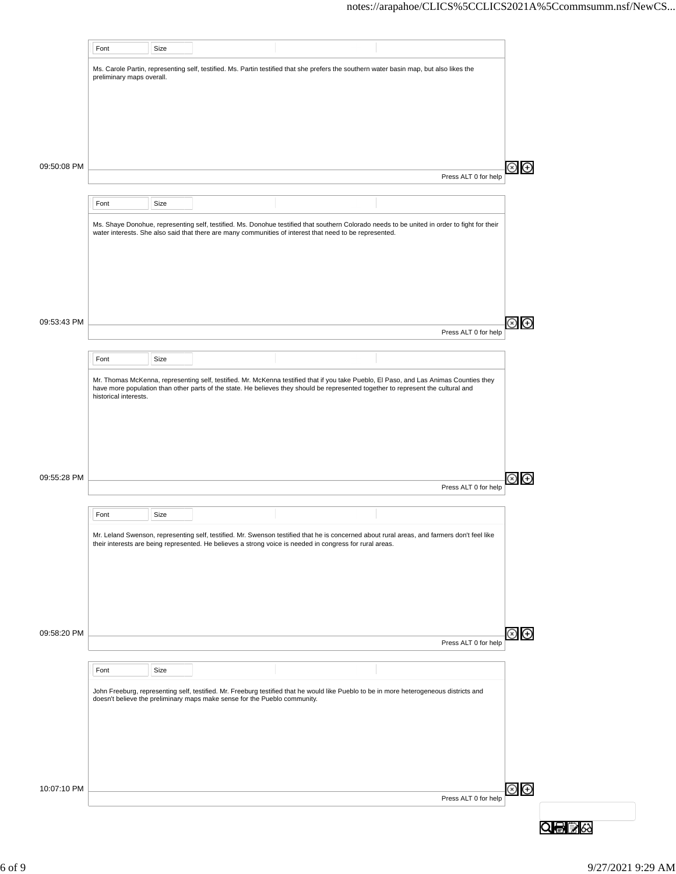|             | Font                      | Size |                                                                           |                                                                                                                                                                                                                                                                             |                      |  |
|-------------|---------------------------|------|---------------------------------------------------------------------------|-----------------------------------------------------------------------------------------------------------------------------------------------------------------------------------------------------------------------------------------------------------------------------|----------------------|--|
|             | preliminary maps overall. |      |                                                                           | Ms. Carole Partin, representing self, testified. Ms. Partin testified that she prefers the southern water basin map, but also likes the                                                                                                                                     |                      |  |
|             |                           |      |                                                                           |                                                                                                                                                                                                                                                                             |                      |  |
|             |                           |      |                                                                           |                                                                                                                                                                                                                                                                             |                      |  |
|             |                           |      |                                                                           |                                                                                                                                                                                                                                                                             |                      |  |
|             |                           |      |                                                                           |                                                                                                                                                                                                                                                                             |                      |  |
| 09:50:08 PM |                           |      |                                                                           |                                                                                                                                                                                                                                                                             | Press ALT 0 for help |  |
|             | Font                      | Size |                                                                           |                                                                                                                                                                                                                                                                             |                      |  |
|             |                           |      |                                                                           | Ms. Shaye Donohue, representing self, testified. Ms. Donohue testified that southern Colorado needs to be united in order to fight for their                                                                                                                                |                      |  |
|             |                           |      |                                                                           | water interests. She also said that there are many communities of interest that need to be represented.                                                                                                                                                                     |                      |  |
|             |                           |      |                                                                           |                                                                                                                                                                                                                                                                             |                      |  |
|             |                           |      |                                                                           |                                                                                                                                                                                                                                                                             |                      |  |
|             |                           |      |                                                                           |                                                                                                                                                                                                                                                                             |                      |  |
|             |                           |      |                                                                           |                                                                                                                                                                                                                                                                             |                      |  |
| 09:53:43 PM |                           |      |                                                                           |                                                                                                                                                                                                                                                                             | Press ALT 0 for help |  |
|             |                           |      |                                                                           |                                                                                                                                                                                                                                                                             |                      |  |
|             | Font                      | Size |                                                                           |                                                                                                                                                                                                                                                                             |                      |  |
|             |                           |      |                                                                           | Mr. Thomas McKenna, representing self, testified. Mr. McKenna testified that if you take Pueblo, El Paso, and Las Animas Counties they<br>have more population than other parts of the state. He believes they should be represented together to represent the cultural and |                      |  |
|             | historical interests.     |      |                                                                           |                                                                                                                                                                                                                                                                             |                      |  |
|             |                           |      |                                                                           |                                                                                                                                                                                                                                                                             |                      |  |
|             |                           |      |                                                                           |                                                                                                                                                                                                                                                                             |                      |  |
|             |                           |      |                                                                           |                                                                                                                                                                                                                                                                             |                      |  |
| 09:55:28 PM |                           |      |                                                                           |                                                                                                                                                                                                                                                                             | Press ALT 0 for help |  |
|             |                           |      |                                                                           |                                                                                                                                                                                                                                                                             |                      |  |
|             | Font                      | Size |                                                                           |                                                                                                                                                                                                                                                                             |                      |  |
|             |                           |      |                                                                           | Mr. Leland Swenson, representing self, testified. Mr. Swenson testified that he is concerned about rural areas, and farmers don't feel like<br>their interests are being represented. He believes a strong voice is needed in congress for rural areas.                     |                      |  |
|             |                           |      |                                                                           |                                                                                                                                                                                                                                                                             |                      |  |
|             |                           |      |                                                                           |                                                                                                                                                                                                                                                                             |                      |  |
|             |                           |      |                                                                           |                                                                                                                                                                                                                                                                             |                      |  |
|             |                           |      |                                                                           |                                                                                                                                                                                                                                                                             |                      |  |
| 09:58:20 PM |                           |      |                                                                           |                                                                                                                                                                                                                                                                             | Press ALT 0 for help |  |
|             |                           |      |                                                                           |                                                                                                                                                                                                                                                                             |                      |  |
|             | Font                      | Size |                                                                           |                                                                                                                                                                                                                                                                             |                      |  |
|             |                           |      | doesn't believe the preliminary maps make sense for the Pueblo community. | John Freeburg, representing self, testified. Mr. Freeburg testified that he would like Pueblo to be in more heterogeneous districts and                                                                                                                                     |                      |  |
|             |                           |      |                                                                           |                                                                                                                                                                                                                                                                             |                      |  |
|             |                           |      |                                                                           |                                                                                                                                                                                                                                                                             |                      |  |
|             |                           |      |                                                                           |                                                                                                                                                                                                                                                                             |                      |  |
|             |                           |      |                                                                           |                                                                                                                                                                                                                                                                             |                      |  |
|             |                           |      |                                                                           |                                                                                                                                                                                                                                                                             |                      |  |
| 10:07:10 PM |                           |      |                                                                           |                                                                                                                                                                                                                                                                             |                      |  |
|             |                           |      |                                                                           |                                                                                                                                                                                                                                                                             | Press ALT 0 for help |  |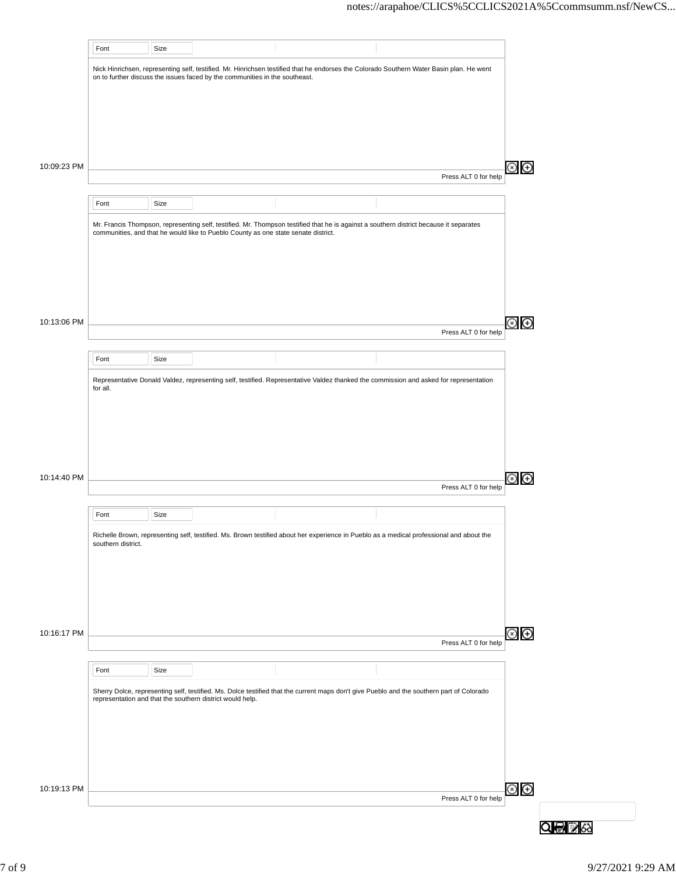|             | Font               | Size |                                                                                    |                                                                                                                                           |                      |                |
|-------------|--------------------|------|------------------------------------------------------------------------------------|-------------------------------------------------------------------------------------------------------------------------------------------|----------------------|----------------|
|             |                    |      |                                                                                    | Nick Hinrichsen, representing self, testified. Mr. Hinrichsen testified that he endorses the Colorado Southern Water Basin plan. He went  |                      |                |
|             |                    |      | on to further discuss the issues faced by the communities in the southeast.        |                                                                                                                                           |                      |                |
|             |                    |      |                                                                                    |                                                                                                                                           |                      |                |
|             |                    |      |                                                                                    |                                                                                                                                           |                      |                |
|             |                    |      |                                                                                    |                                                                                                                                           |                      |                |
|             |                    |      |                                                                                    |                                                                                                                                           |                      |                |
| 10:09:23 PM |                    |      |                                                                                    |                                                                                                                                           |                      | $\Theta$       |
|             |                    |      |                                                                                    |                                                                                                                                           | Press ALT 0 for help |                |
|             |                    |      |                                                                                    |                                                                                                                                           |                      |                |
|             | Font               | Size |                                                                                    |                                                                                                                                           |                      |                |
|             |                    |      |                                                                                    | Mr. Francis Thompson, representing self, testified. Mr. Thompson testified that he is against a southern district because it separates    |                      |                |
|             |                    |      | communities, and that he would like to Pueblo County as one state senate district. |                                                                                                                                           |                      |                |
|             |                    |      |                                                                                    |                                                                                                                                           |                      |                |
|             |                    |      |                                                                                    |                                                                                                                                           |                      |                |
|             |                    |      |                                                                                    |                                                                                                                                           |                      |                |
|             |                    |      |                                                                                    |                                                                                                                                           |                      |                |
| 10:13:06 PM |                    |      |                                                                                    |                                                                                                                                           |                      | $\circledast$  |
|             |                    |      |                                                                                    |                                                                                                                                           | Press ALT 0 for help |                |
|             |                    |      |                                                                                    |                                                                                                                                           |                      |                |
|             | Font               | Size |                                                                                    |                                                                                                                                           |                      |                |
|             |                    |      |                                                                                    | Representative Donald Valdez, representing self, testified. Representative Valdez thanked the commission and asked for representation     |                      |                |
|             | for all.           |      |                                                                                    |                                                                                                                                           |                      |                |
|             |                    |      |                                                                                    |                                                                                                                                           |                      |                |
|             |                    |      |                                                                                    |                                                                                                                                           |                      |                |
|             |                    |      |                                                                                    |                                                                                                                                           |                      |                |
|             |                    |      |                                                                                    |                                                                                                                                           |                      |                |
| 10:14:40 PM |                    |      |                                                                                    |                                                                                                                                           |                      | $\bigoplus$    |
|             |                    |      |                                                                                    |                                                                                                                                           | Press ALT 0 for help |                |
|             |                    |      |                                                                                    |                                                                                                                                           |                      |                |
|             | Font               | Size |                                                                                    |                                                                                                                                           |                      |                |
|             |                    |      |                                                                                    | Richelle Brown, representing self, testified. Ms. Brown testified about her experience in Pueblo as a medical professional and about the  |                      |                |
|             | southern district. |      |                                                                                    |                                                                                                                                           |                      |                |
|             |                    |      |                                                                                    |                                                                                                                                           |                      |                |
|             |                    |      |                                                                                    |                                                                                                                                           |                      |                |
|             |                    |      |                                                                                    |                                                                                                                                           |                      |                |
|             |                    |      |                                                                                    |                                                                                                                                           |                      |                |
| 10:16:17 PM |                    |      |                                                                                    |                                                                                                                                           |                      | $\circledcirc$ |
|             |                    |      |                                                                                    |                                                                                                                                           | Press ALT 0 for help |                |
|             |                    |      |                                                                                    |                                                                                                                                           |                      |                |
|             | Font               | Size |                                                                                    |                                                                                                                                           |                      |                |
|             |                    |      |                                                                                    | Sherry Dolce, representing self, testified. Ms. Dolce testified that the current maps don't give Pueblo and the southern part of Colorado |                      |                |
|             |                    |      | representation and that the southern district would help.                          |                                                                                                                                           |                      |                |
|             |                    |      |                                                                                    |                                                                                                                                           |                      |                |
|             |                    |      |                                                                                    |                                                                                                                                           |                      |                |
|             |                    |      |                                                                                    |                                                                                                                                           |                      |                |
|             |                    |      |                                                                                    |                                                                                                                                           |                      |                |
|             |                    |      |                                                                                    |                                                                                                                                           |                      |                |
| 10:19:13 PM |                    |      |                                                                                    |                                                                                                                                           | Press ALT 0 for help | $\circledast$  |
|             |                    |      |                                                                                    |                                                                                                                                           |                      |                |
|             |                    |      |                                                                                    |                                                                                                                                           |                      |                |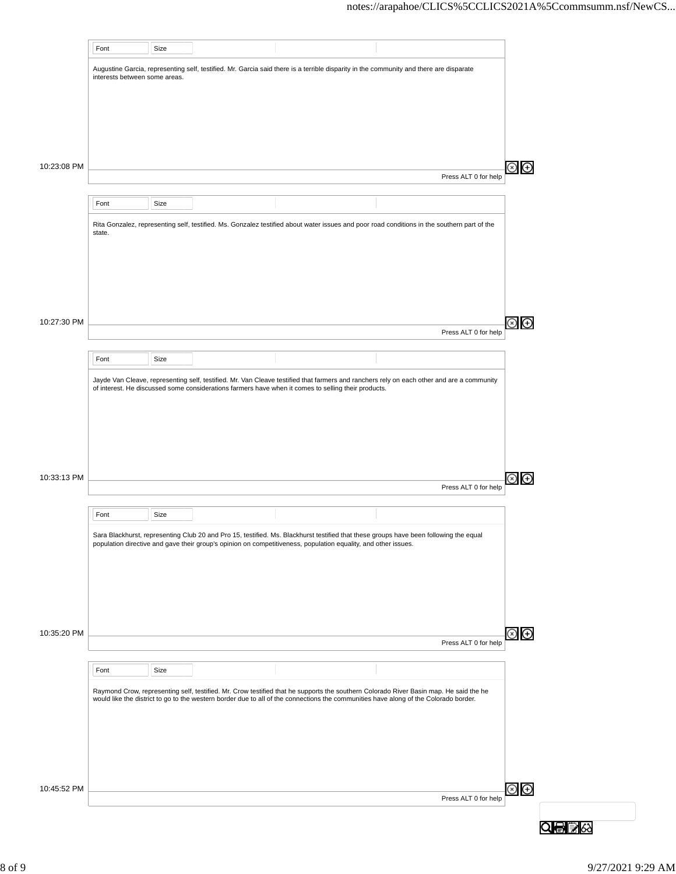|             | Font                          | Size |                                                                                                                                             |                      |               |
|-------------|-------------------------------|------|---------------------------------------------------------------------------------------------------------------------------------------------|----------------------|---------------|
|             |                               |      | Augustine Garcia, representing self, testified. Mr. Garcia said there is a terrible disparity in the community and there are disparate      |                      |               |
|             | interests between some areas. |      |                                                                                                                                             |                      |               |
|             |                               |      |                                                                                                                                             |                      |               |
|             |                               |      |                                                                                                                                             |                      |               |
|             |                               |      |                                                                                                                                             |                      |               |
|             |                               |      |                                                                                                                                             |                      |               |
| 10:23:08 PM |                               |      |                                                                                                                                             |                      | $\bigoplus$   |
|             |                               |      |                                                                                                                                             | Press ALT 0 for help |               |
|             | Font                          | Size |                                                                                                                                             |                      |               |
|             |                               |      |                                                                                                                                             |                      |               |
|             | state.                        |      | Rita Gonzalez, representing self, testified. Ms. Gonzalez testified about water issues and poor road conditions in the southern part of the |                      |               |
|             |                               |      |                                                                                                                                             |                      |               |
|             |                               |      |                                                                                                                                             |                      |               |
|             |                               |      |                                                                                                                                             |                      |               |
|             |                               |      |                                                                                                                                             |                      |               |
|             |                               |      |                                                                                                                                             |                      |               |
| 10:27:30 PM |                               |      |                                                                                                                                             | Press ALT 0 for help | $\bigoplus$   |
|             |                               |      |                                                                                                                                             |                      |               |
|             | Font                          | Size |                                                                                                                                             |                      |               |
|             |                               |      | Jayde Van Cleave, representing self, testified. Mr. Van Cleave testified that farmers and ranchers rely on each other and are a community   |                      |               |
|             |                               |      | of interest. He discussed some considerations farmers have when it comes to selling their products.                                         |                      |               |
|             |                               |      |                                                                                                                                             |                      |               |
|             |                               |      |                                                                                                                                             |                      |               |
|             |                               |      |                                                                                                                                             |                      |               |
|             |                               |      |                                                                                                                                             |                      |               |
|             |                               |      |                                                                                                                                             |                      |               |
| 10:33:13 PM |                               |      |                                                                                                                                             | Press ALT 0 for help | $\bigoplus$   |
|             |                               |      |                                                                                                                                             |                      |               |
|             | Font                          | Size |                                                                                                                                             |                      |               |
|             |                               |      | Sara Blackhurst, representing Club 20 and Pro 15, testified. Ms. Blackhurst testified that these groups have been following the equal       |                      |               |
|             |                               |      | population directive and gave their group's opinion on competitiveness, population equality, and other issues.                              |                      |               |
|             |                               |      |                                                                                                                                             |                      |               |
|             |                               |      |                                                                                                                                             |                      |               |
|             |                               |      |                                                                                                                                             |                      |               |
|             |                               |      |                                                                                                                                             |                      |               |
| 10:35:20 PM |                               |      |                                                                                                                                             |                      | $\circledast$ |
|             |                               |      |                                                                                                                                             | Press ALT 0 for help |               |
|             |                               |      |                                                                                                                                             |                      |               |
|             |                               |      |                                                                                                                                             |                      |               |
|             | Font                          | Size |                                                                                                                                             |                      |               |
|             |                               |      | Raymond Crow, representing self, testified. Mr. Crow testified that he supports the southern Colorado River Basin map. He said the he       |                      |               |
|             |                               |      | would like the district to go to the western border due to all of the connections the communities have along of the Colorado border.        |                      |               |
|             |                               |      |                                                                                                                                             |                      |               |
|             |                               |      |                                                                                                                                             |                      |               |
|             |                               |      |                                                                                                                                             |                      |               |
|             |                               |      |                                                                                                                                             |                      |               |
| 10:45:52 PM |                               |      |                                                                                                                                             |                      |               |
|             |                               |      |                                                                                                                                             | Press ALT 0 for help | $\circledast$ |
|             |                               |      |                                                                                                                                             |                      |               |